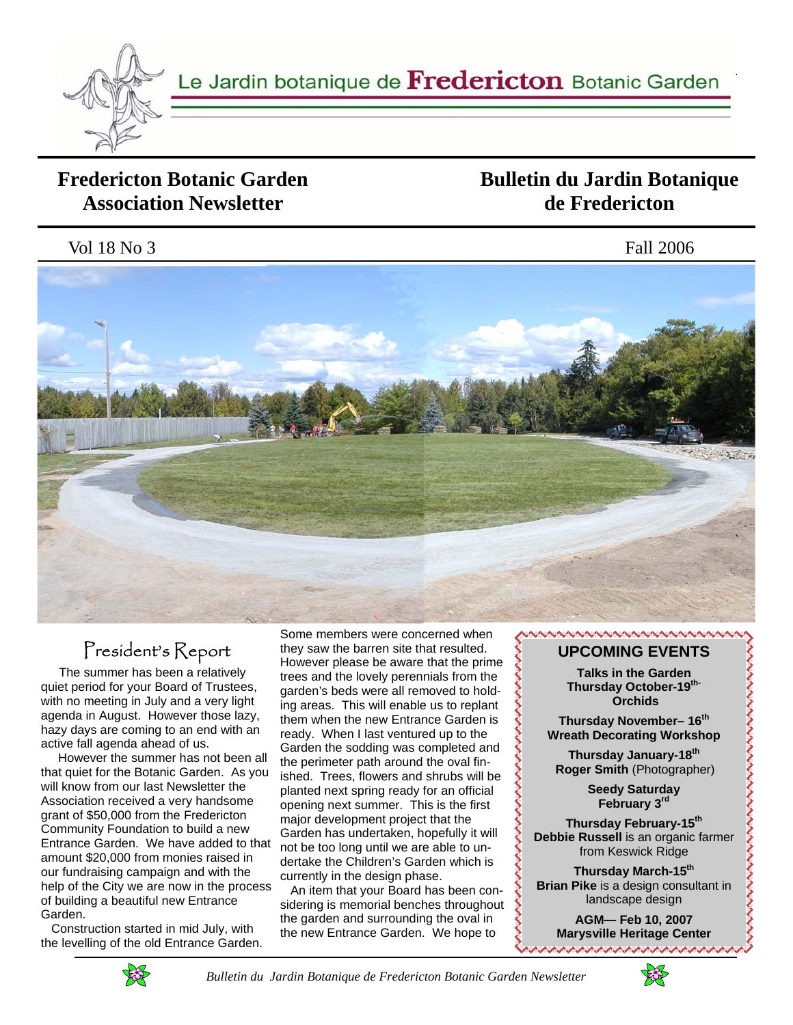

Le Jardin botanique de *Fredericton* Botanic Garden

## **Fredericton Botanic Garden Association Newsletter**

# **Bulletin du Jardin Botanique de Fredericton**

Vol 18 No 3 Fall 2006



# President's Report

 The summer has been a relatively quiet period for your Board of Trustees, with no meeting in July and a very light agenda in August. However those lazy, hazy days are coming to an end with an active fall agenda ahead of us.

 However the summer has not been all that quiet for the Botanic Garden. As you will know from our last Newsletter the Association received a very handsome grant of \$50,000 from the Fredericton Community Foundation to build a new Entrance Garden. We have added to that amount \$20,000 from monies raised in our fundraising campaign and with the help of the City we are now in the process of building a beautiful new Entrance Garden.

 Construction started in mid July, with the levelling of the old Entrance Garden.

Some members were concerned when they saw the barren site that resulted. However please be aware that the prime trees and the lovely perennials from the garden's beds were all removed to holding areas. This will enable us to replant them when the new Entrance Garden is ready. When I last ventured up to the Garden the sodding was completed and the perimeter path around the oval finished. Trees, flowers and shrubs will be planted next spring ready for an official opening next summer. This is the first major development project that the Garden has undertaken, hopefully it will not be too long until we are able to undertake the Children's Garden which is currently in the design phase.

 An item that your Board has been considering is memorial benches throughout the garden and surrounding the oval in the new Entrance Garden. We hope to

### **NAMAMAMAMAMAMAMAMAMAMAMAMA UPCOMING EVENTS**

**Talks in the Garden Thursday October-19th- Orchids** 

**Thursday November– 16th Wreath Decorating Workshop** 

**Thursday January-18th Roger Smith** (Photographer) とくききこうきこうきこうきょうきょうきょうきょうきょうきょう

**Seedy Saturday February 3rd** 

**Thursday February-15th Debbie Russell** is an organic farmer from Keswick Ridge

**Thursday March-15th Brian Pike** is a design consultant in landscape design

**AGM— Feb 10, 2007 Marysville Heritage Center** アイアイアイアイアイアイアイアイブ



 *Bulletin du Jardin Botanique de Fredericton Botanic Garden Newsletter* 

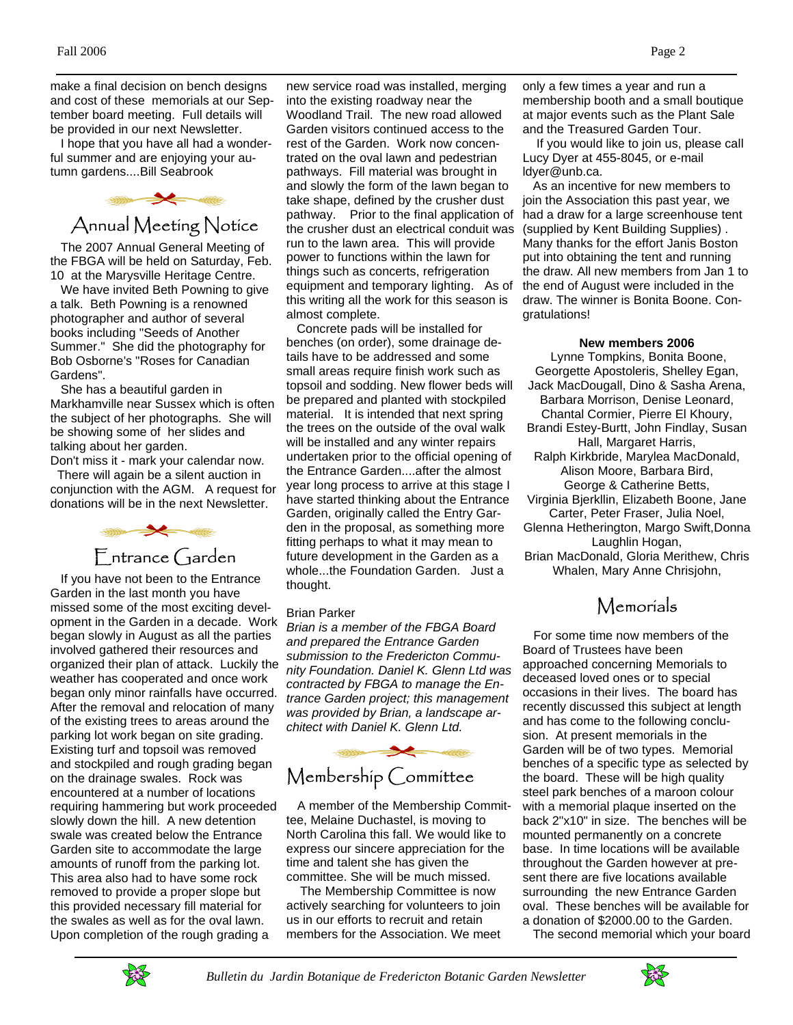make a final decision on bench designs and cost of these memorials at our September board meeting. Full details will be provided in our next Newsletter.

 I hope that you have all had a wonderful summer and are enjoying your autumn gardens....Bill Seabrook



 The 2007 Annual General Meeting of the FBGA will be held on Saturday, Feb. 10 at the Marysville Heritage Centre.

 We have invited Beth Powning to give a talk. Beth Powning is a renowned photographer and author of several books including "Seeds of Another Summer." She did the photography for Bob Osborne's "Roses for Canadian Gardens".

 She has a beautiful garden in Markhamville near Sussex which is often the subject of her photographs. She will be showing some of her slides and talking about her garden.

Don't miss it - mark your calendar now. There will again be a silent auction in conjunction with the AGM. A request for donations will be in the next Newsletter.



 If you have not been to the Entrance Garden in the last month you have missed some of the most exciting development in the Garden in a decade. Work began slowly in August as all the parties involved gathered their resources and organized their plan of attack. Luckily the weather has cooperated and once work began only minor rainfalls have occurred. After the removal and relocation of many of the existing trees to areas around the parking lot work began on site grading. Existing turf and topsoil was removed and stockpiled and rough grading began on the drainage swales. Rock was encountered at a number of locations requiring hammering but work proceeded slowly down the hill. A new detention swale was created below the Entrance Garden site to accommodate the large amounts of runoff from the parking lot. This area also had to have some rock removed to provide a proper slope but this provided necessary fill material for the swales as well as for the oval lawn. Upon completion of the rough grading a

new service road was installed, merging into the existing roadway near the Woodland Trail. The new road allowed Garden visitors continued access to the rest of the Garden. Work now concentrated on the oval lawn and pedestrian pathways. Fill material was brought in and slowly the form of the lawn began to take shape, defined by the crusher dust pathway. Prior to the final application of the crusher dust an electrical conduit was run to the lawn area. This will provide power to functions within the lawn for things such as concerts, refrigeration equipment and temporary lighting. As of this writing all the work for this season is almost complete.

 Concrete pads will be installed for benches (on order), some drainage details have to be addressed and some small areas require finish work such as topsoil and sodding. New flower beds will be prepared and planted with stockpiled material. It is intended that next spring the trees on the outside of the oval walk will be installed and any winter repairs undertaken prior to the official opening of the Entrance Garden....after the almost year long process to arrive at this stage I have started thinking about the Entrance Garden, originally called the Entry Garden in the proposal, as something more fitting perhaps to what it may mean to future development in the Garden as a whole...the Foundation Garden. Just a thought.

#### Brian Parker

*Brian is a member of the FBGA Board and prepared the Entrance Garden submission to the Fredericton Community Foundation. Daniel K. Glenn Ltd was contracted by FBGA to manage the Entrance Garden project; this management was provided by Brian, a landscape architect with Daniel K. Glenn Ltd.* 



 A member of the Membership Committee, Melaine Duchastel, is moving to North Carolina this fall. We would like to express our sincere appreciation for the time and talent she has given the committee. She will be much missed.

 The Membership Committee is now actively searching for volunteers to join us in our efforts to recruit and retain members for the Association. We meet only a few times a year and run a membership booth and a small boutique at major events such as the Plant Sale and the Treasured Garden Tour.

 If you would like to join us, please call Lucy Dyer at 455-8045, or e-mail ldyer@unb.ca.

 As an incentive for new members to join the Association this past year, we had a draw for a large screenhouse tent (supplied by Kent Building Supplies) . Many thanks for the effort Janis Boston put into obtaining the tent and running the draw. All new members from Jan 1 to the end of August were included in the draw. The winner is Bonita Boone. Congratulations!

#### **New members 2006**

 Lynne Tompkins, Bonita Boone, Georgette Apostoleris, Shelley Egan, Jack MacDougall, Dino & Sasha Arena, Barbara Morrison, Denise Leonard, Chantal Cormier, Pierre El Khoury, Brandi Estey-Burtt, John Findlay, Susan Hall, Margaret Harris, Ralph Kirkbride, Marylea MacDonald, Alison Moore, Barbara Bird, George & Catherine Betts, Virginia Bjerkllin, Elizabeth Boone, Jane Carter, Peter Fraser, Julia Noel, Glenna Hetherington, Margo Swift,Donna Laughlin Hogan, Brian MacDonald, Gloria Merithew, Chris Whalen, Mary Anne Chrisjohn,

# Memorials

 For some time now members of the Board of Trustees have been approached concerning Memorials to deceased loved ones or to special occasions in their lives. The board has recently discussed this subject at length and has come to the following conclusion. At present memorials in the Garden will be of two types. Memorial benches of a specific type as selected by the board. These will be high quality steel park benches of a maroon colour with a memorial plaque inserted on the back 2"x10" in size. The benches will be mounted permanently on a concrete base. In time locations will be available throughout the Garden however at present there are five locations available surrounding the new Entrance Garden oval. These benches will be available for a donation of \$2000.00 to the Garden.

The second memorial which your board



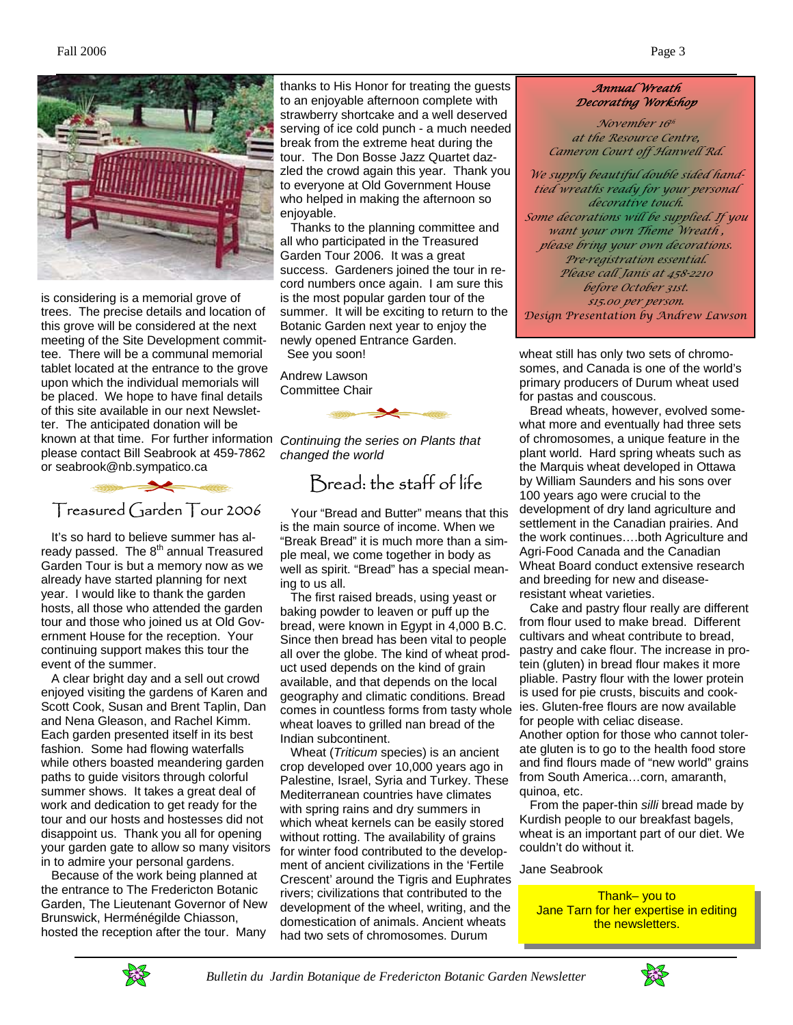



is considering is a memorial grove of trees. The precise details and location of this grove will be considered at the next meeting of the Site Development committee. There will be a communal memorial tablet located at the entrance to the grove upon which the individual memorials will be placed. We hope to have final details of this site available in our next Newsletter. The anticipated donation will be known at that time. For further information please contact Bill Seabrook at 459-7862 or seabrook@nb.sympatico.ca



 It's so hard to believe summer has already passed. The 8<sup>th</sup> annual Treasured Garden Tour is but a memory now as we already have started planning for next year. I would like to thank the garden hosts, all those who attended the garden tour and those who joined us at Old Government House for the reception. Your continuing support makes this tour the event of the summer.

 A clear bright day and a sell out crowd enjoyed visiting the gardens of Karen and Scott Cook, Susan and Brent Taplin, Dan and Nena Gleason, and Rachel Kimm. Each garden presented itself in its best fashion. Some had flowing waterfalls while others boasted meandering garden paths to guide visitors through colorful summer shows. It takes a great deal of work and dedication to get ready for the tour and our hosts and hostesses did not disappoint us. Thank you all for opening your garden gate to allow so many visitors in to admire your personal gardens.

 Because of the work being planned at the entrance to The Fredericton Botanic Garden, The Lieutenant Governor of New Brunswick, Herménégilde Chiasson, hosted the reception after the tour. Many

thanks to His Honor for treating the guests to an enjoyable afternoon complete with strawberry shortcake and a well deserved serving of ice cold punch - a much needed break from the extreme heat during the tour. The Don Bosse Jazz Quartet dazzled the crowd again this year. Thank you to everyone at Old Government House who helped in making the afternoon so enjoyable.

 Thanks to the planning committee and all who participated in the Treasured Garden Tour 2006. It was a great success. Gardeners joined the tour in record numbers once again. I am sure this is the most popular garden tour of the summer. It will be exciting to return to the Botanic Garden next year to enjoy the newly opened Entrance Garden. See you soon!

Andrew Lawson

Committee Chair



*Continuing the series on Plants that changed the world* 

# Bread: the staff of life

 Your "Bread and Butter" means that this is the main source of income. When we "Break Bread" it is much more than a simple meal, we come together in body as well as spirit. "Bread" has a special meaning to us all.

 The first raised breads, using yeast or baking powder to leaven or puff up the bread, were known in Egypt in 4,000 B.C. Since then bread has been vital to people all over the globe. The kind of wheat product used depends on the kind of grain available, and that depends on the local geography and climatic conditions. Bread comes in countless forms from tasty whole wheat loaves to grilled nan bread of the Indian subcontinent.

 Wheat (*Triticum* species) is an ancient crop developed over 10,000 years ago in Palestine, Israel, Syria and Turkey. These Mediterranean countries have climates with spring rains and dry summers in which wheat kernels can be easily stored without rotting. The availability of grains for winter food contributed to the development of ancient civilizations in the 'Fertile Crescent' around the Tigris and Euphrates rivers; civilizations that contributed to the development of the wheel, writing, and the domestication of animals. Ancient wheats had two sets of chromosomes. Durum

#### *Annual Wreath Decorating Workshop*

*November 16th at the Resource Centre, Cameron Court off Hanwell Rd.*

*We supply beautiful double sided handtied wreaths ready for your personal decorative touch. Some decorations will be supplied. If you want your own Theme Wreath , please bring your own decorations. Pre-registration essential. Please call Janis at 458-2210 before October 31st. \$15.00 per person. Design Presentation by Andrew Lawson* 

wheat still has only two sets of chromosomes, and Canada is one of the world's primary producers of Durum wheat used for pastas and couscous.

 Bread wheats, however, evolved somewhat more and eventually had three sets of chromosomes, a unique feature in the plant world. Hard spring wheats such as the Marquis wheat developed in Ottawa by William Saunders and his sons over 100 years ago were crucial to the development of dry land agriculture and settlement in the Canadian prairies. And the work continues….both Agriculture and Agri-Food Canada and the Canadian Wheat Board conduct extensive research and breeding for new and diseaseresistant wheat varieties.

 Cake and pastry flour really are different from flour used to make bread. Different cultivars and wheat contribute to bread, pastry and cake flour. The increase in protein (gluten) in bread flour makes it more pliable. Pastry flour with the lower protein is used for pie crusts, biscuits and cookies. Gluten-free flours are now available for people with celiac disease. Another option for those who cannot tolerate gluten is to go to the health food store and find flours made of "new world" grains from South America…corn, amaranth,

quinoa, etc.

 From the paper-thin *silli* bread made by Kurdish people to our breakfast bagels, wheat is an important part of our diet. We couldn't do without it.

#### Jane Seabrook

Thank– you to **Jane Tarn for her expertise in editing** the newsletters.